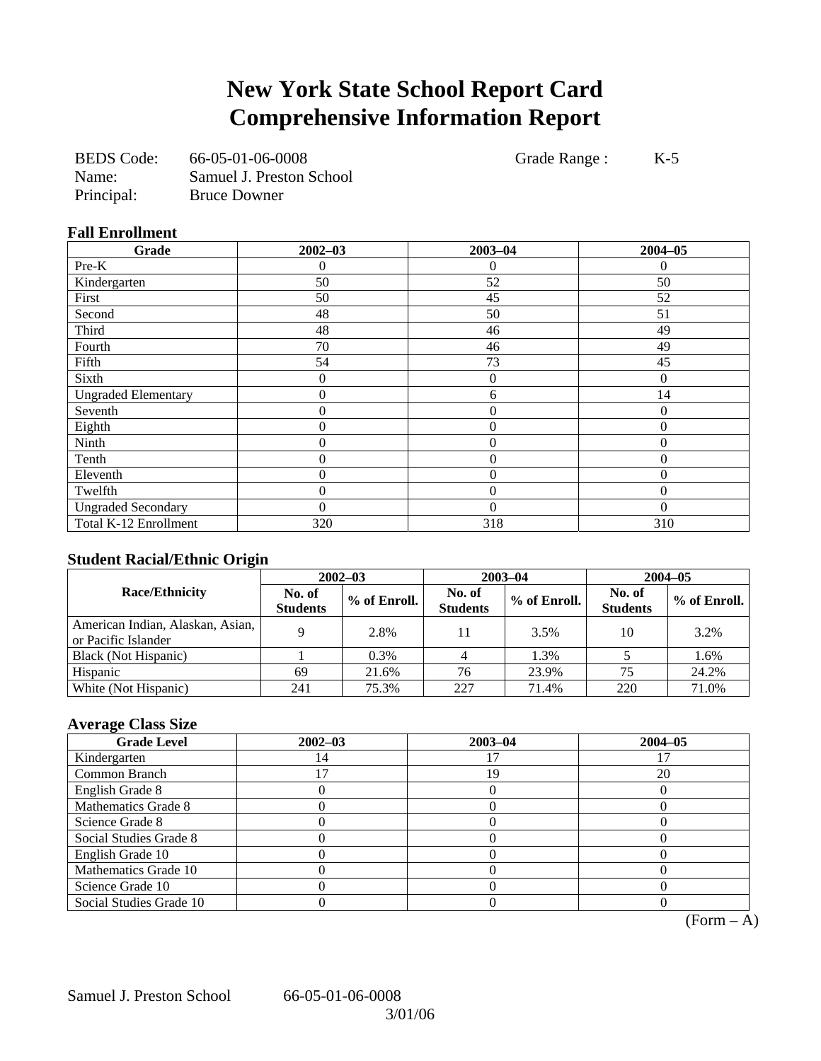# **New York State School Report Card Comprehensive Information Report**

| <b>BEDS</b> Code: | 66-05-01-06-0008         |
|-------------------|--------------------------|
| Name:             | Samuel J. Preston School |
| Principal:        | <b>Bruce Downer</b>      |

Grade Range : K-5

#### **Fall Enrollment**

| Grade                      | $2002 - 03$      | $2003 - 04$      | $2004 - 05$ |
|----------------------------|------------------|------------------|-------------|
| Pre-K                      | 0                | $\theta$         | 0           |
| Kindergarten               | 50               | 52               | 50          |
| First                      | 50               | 45               | 52          |
| Second                     | 48               | 50               | 51          |
| Third                      | 48               | 46               | 49          |
| Fourth                     | 70               | 46               | 49          |
| Fifth                      | 54               | 73               | 45          |
| Sixth                      | $\overline{0}$   | $\boldsymbol{0}$ | $\Omega$    |
| <b>Ungraded Elementary</b> | $\boldsymbol{0}$ | 6                | 14          |
| Seventh                    | $\boldsymbol{0}$ | $\overline{0}$   | $\Omega$    |
| Eighth                     | $\boldsymbol{0}$ | $\boldsymbol{0}$ | $\Omega$    |
| Ninth                      | $\overline{0}$   | $\overline{0}$   | $\Omega$    |
| Tenth                      | $\overline{0}$   | $\overline{0}$   | $\theta$    |
| Eleventh                   | $\theta$         | $\theta$         | $\Omega$    |
| Twelfth                    | 0                | $\overline{0}$   | $\Omega$    |
| <b>Ungraded Secondary</b>  | 0                | $\theta$         | $\Omega$    |
| Total K-12 Enrollment      | 320              | 318              | 310         |

#### **Student Racial/Ethnic Origin**

| ້                                                       | $2002 - 03$               |              |                           | $2003 - 04$  | $2004 - 05$               |              |
|---------------------------------------------------------|---------------------------|--------------|---------------------------|--------------|---------------------------|--------------|
| <b>Race/Ethnicity</b>                                   | No. of<br><b>Students</b> | % of Enroll. | No. of<br><b>Students</b> | % of Enroll. | No. of<br><b>Students</b> | % of Enroll. |
| American Indian, Alaskan, Asian,<br>or Pacific Islander |                           | 2.8%         | 11                        | 3.5%         | 10                        | 3.2%         |
| Black (Not Hispanic)                                    |                           | 0.3%         |                           | 1.3%         |                           | 1.6%         |
| Hispanic                                                | 69                        | 21.6%        | 76                        | 23.9%        | 75                        | 24.2%        |
| White (Not Hispanic)                                    | 241                       | 75.3%        | 227                       | 71.4%        | 220                       | 71.0%        |

### **Average Class Size**

| <b>Grade Level</b>      | $2002 - 03$ | $2003 - 04$ | $2004 - 05$ |
|-------------------------|-------------|-------------|-------------|
| Kindergarten            |             |             |             |
| Common Branch           |             | 19          | 20          |
| English Grade 8         |             |             |             |
| Mathematics Grade 8     |             |             |             |
| Science Grade 8         |             |             |             |
| Social Studies Grade 8  |             |             |             |
| English Grade 10        |             |             |             |
| Mathematics Grade 10    |             |             |             |
| Science Grade 10        |             |             |             |
| Social Studies Grade 10 |             |             |             |

 $\overline{(Form - A)}$ 

Samuel J. Preston School 66-05-01-06-0008

3/01/06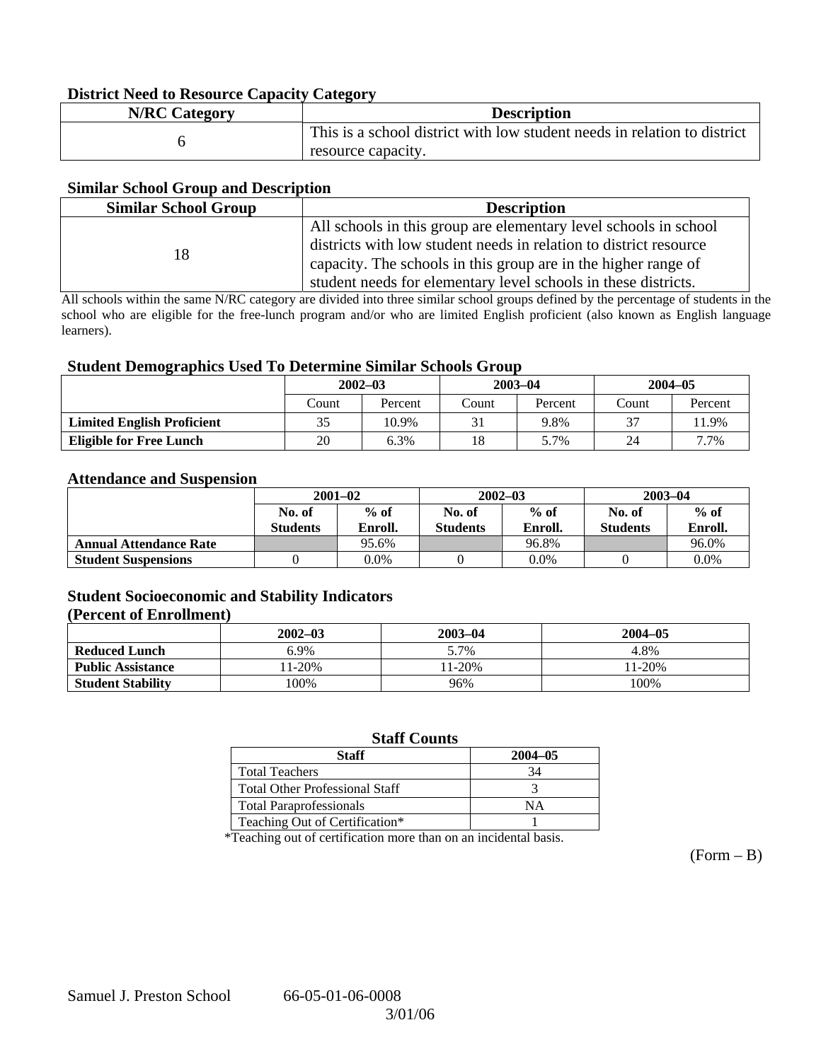#### **District Need to Resource Capacity Category**

| <b>N/RC Category</b> | <b>Description</b>                                                       |
|----------------------|--------------------------------------------------------------------------|
|                      | This is a school district with low student needs in relation to district |
|                      | resource capacity.                                                       |

#### **Similar School Group and Description**

| <b>Similar School Group</b><br><b>Description</b> |                                                                                                                                                                                                                                                                           |  |  |
|---------------------------------------------------|---------------------------------------------------------------------------------------------------------------------------------------------------------------------------------------------------------------------------------------------------------------------------|--|--|
| 18                                                | All schools in this group are elementary level schools in school<br>districts with low student needs in relation to district resource<br>capacity. The schools in this group are in the higher range of<br>student needs for elementary level schools in these districts. |  |  |

All schools within the same N/RC category are divided into three similar school groups defined by the percentage of students in the school who are eligible for the free-lunch program and/or who are limited English proficient (also known as English language learners).

#### **Student Demographics Used To Determine Similar Schools Group**

| ີ                                 | $2002 - 03$ |         | $2003 - 04$ |         | $2004 - 05$ |         |
|-----------------------------------|-------------|---------|-------------|---------|-------------|---------|
|                                   | Count       | Percent | Count       | Percent | Count       | Percent |
| <b>Limited English Proficient</b> | 35          | 10.9%   |             | 9.8%    | 37          | 11.9%   |
| <b>Eligible for Free Lunch</b>    | 20          | 6.3%    | 18          | 5.7%    | 24          | 7.7%    |

#### **Attendance and Suspension**

|                               | $2001 - 02$               |                   |                           | $2002 - 03$       | $2003 - 04$               |                   |
|-------------------------------|---------------------------|-------------------|---------------------------|-------------------|---------------------------|-------------------|
|                               | No. of<br><b>Students</b> | $%$ of<br>Enroll. | No. of<br><b>Students</b> | $%$ of<br>Enroll. | No. of<br><b>Students</b> | $%$ of<br>Enroll. |
| <b>Annual Attendance Rate</b> |                           | 95.6%             |                           | 96.8%             |                           | 96.0%             |
| <b>Student Suspensions</b>    |                           | $0.0\%$           |                           | 0.0%              |                           | 0.0%              |

### **Student Socioeconomic and Stability Indicators**

#### **(Percent of Enrollment)**

|                          | $2002 - 03$ | $2003 - 04$ | $2004 - 05$ |
|--------------------------|-------------|-------------|-------------|
| <b>Reduced Lunch</b>     | 5.9%        | 5.7%        | 4.8%        |
| <b>Public Assistance</b> | 11-20%      | $1-20\%$    | 11-20%      |
| <b>Student Stability</b> | $00\%$      | 96%         | 100%        |

#### **Staff Counts**

| Staff                                 | $2004 - 05$ |
|---------------------------------------|-------------|
| <b>Total Teachers</b>                 |             |
| <b>Total Other Professional Staff</b> |             |
| <b>Total Paraprofessionals</b>        | NΑ          |
| Teaching Out of Certification*        |             |

\*Teaching out of certification more than on an incidental basis.

 $(Form - B)$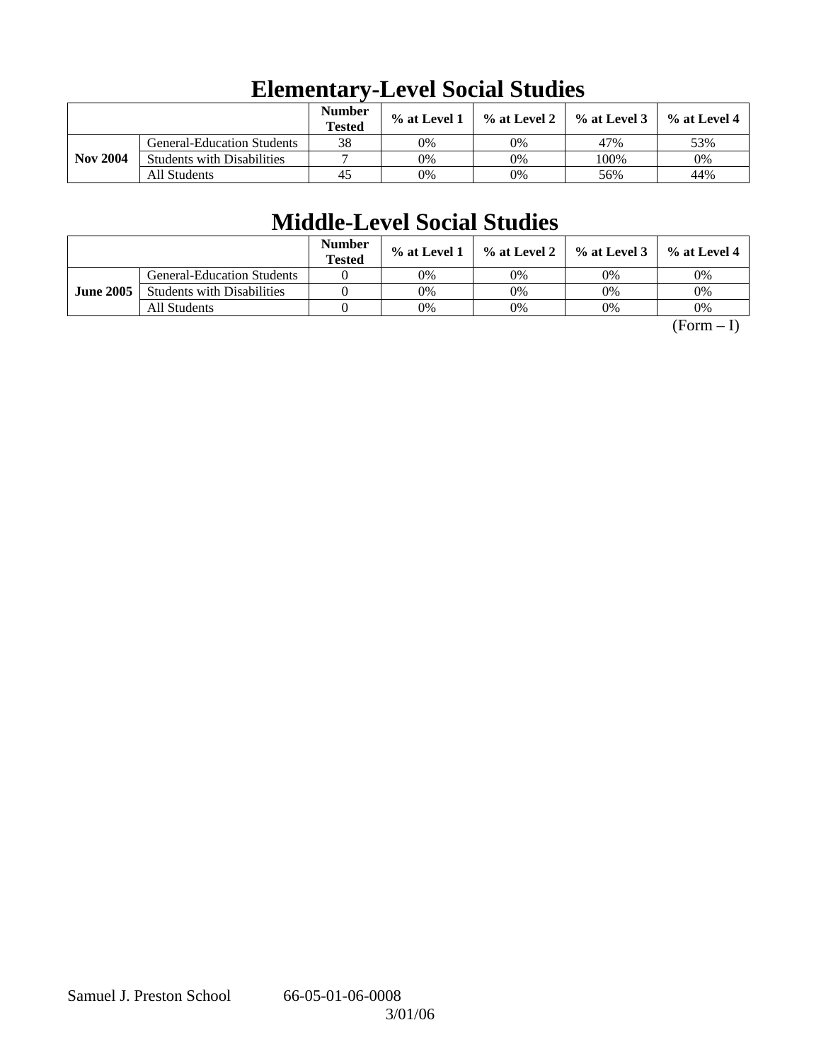|                 |                                   | <b>Number</b><br><b>Tested</b> | $\%$ at Level 1 | % at Level 2 | $\%$ at Level 3 | $%$ at Level 4 |
|-----------------|-----------------------------------|--------------------------------|-----------------|--------------|-----------------|----------------|
|                 | <b>General-Education Students</b> | 38                             | 0%              | 0%           | 47%             | 53%            |
| <b>Nov 2004</b> | <b>Students with Disabilities</b> |                                | 0%              | 0%           | 100%            | 0%             |
|                 | All Students                      | 45                             | 0%              | 0%           | 56%             | 44%            |

# **Elementary-Level Social Studies**

# **Middle-Level Social Studies**

|                  |                                   | <b>Number</b><br><b>Tested</b> | $\%$ at Level 1 | $\%$ at Level 2 $\parallel$ | $\%$ at Level 3 | $\%$ at Level 4 |
|------------------|-----------------------------------|--------------------------------|-----------------|-----------------------------|-----------------|-----------------|
|                  | <b>General-Education Students</b> |                                | 0%              | 0%                          | 0%              | 0%              |
| <b>June 2005</b> | <b>Students with Disabilities</b> |                                | 0%              | 0%                          | 0%              | 0%              |
|                  | All Students                      |                                | 0%              | 0%                          | 0%              | 0%              |

 $(Form - I)$